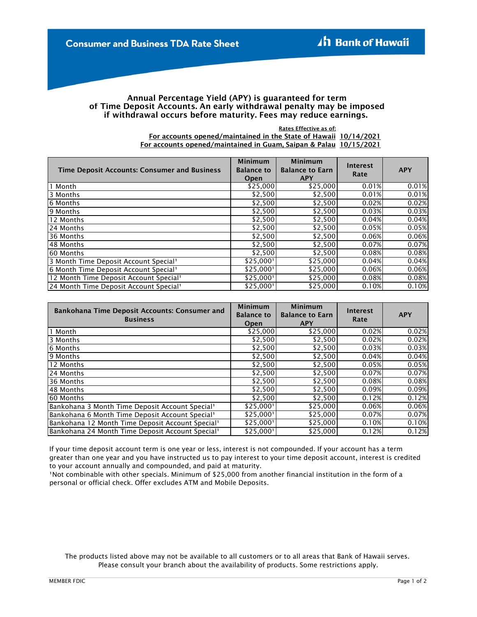## Annual Percentage Yield (APY) is guaranteed for term of Time Deposit Accounts. An early withdrawal penalty may be imposed if withdrawal occurs before maturity. Fees may reduce earnings.

Rates Effective as of:

10/14/2021 For accounts opened/maintained in the State of Hawaii For accounts opened/maintained in Guam, Saipan & Palau 10/15/2021

| <b>Time Deposit Accounts: Consumer and Business</b> | <b>Minimum</b><br><b>Balance to</b><br>Open | <b>Minimum</b><br><b>Balance to Earn</b><br><b>APY</b> | <b>Interest</b><br>Rate | <b>APY</b> |
|-----------------------------------------------------|---------------------------------------------|--------------------------------------------------------|-------------------------|------------|
| 1 Month                                             | \$25,000                                    | \$25,000                                               | 0.01%                   | 0.01%      |
| 3 Months                                            | \$2,500                                     | \$2,500                                                | 0.01%                   | 0.01%      |
| 6 Months                                            | \$2,500                                     | \$2,500                                                | 0.02%                   | 0.02%      |
| 9 Months                                            | \$2,500                                     | \$2,500                                                | 0.03%                   | 0.03%      |
| 12 Months                                           | \$2,500                                     | \$2,500                                                | 0.04%                   | 0.04%      |
| 24 Months                                           | \$2,500                                     | \$2,500                                                | 0.05%                   | 0.05%      |
| 36 Months                                           | \$2,500                                     | \$2,500                                                | 0.06%                   | 0.06%      |
| 48 Months                                           | \$2,500                                     | \$2,500                                                | 0.07%                   | 0.07%      |
| 60 Months                                           | \$2,500                                     | \$2,500                                                | 0.08%                   | 0.08%      |
| 3 Month Time Deposit Account Special <sup>1</sup>   | \$25,000'                                   | \$25,000                                               | 0.04%                   | 0.04%      |
| 6 Month Time Deposit Account Special <sup>1</sup>   | \$25,000'                                   | \$25,000                                               | 0.06%                   | 0.06%      |
| 12 Month Time Deposit Account Special <sup>1</sup>  | \$25,000'                                   | \$25,000                                               | 0.08%                   | 0.08%      |
| 24 Month Time Deposit Account Special <sup>1</sup>  | \$25,000'                                   | \$25,000                                               | 0.10%                   | 0.10%      |

| <b>Bankohana Time Deposit Accounts: Consumer and</b><br><b>Business</b> | <b>Minimum</b><br><b>Balance to</b><br>Open | <b>Minimum</b><br><b>Balance to Earn</b><br><b>APY</b> | <b>Interest</b><br>Rate | <b>APY</b> |
|-------------------------------------------------------------------------|---------------------------------------------|--------------------------------------------------------|-------------------------|------------|
| Month                                                                   | \$25,000                                    | \$25,000                                               | 0.02%                   | 0.02%      |
| 3 Months                                                                | \$2,500                                     | \$2,500                                                | 0.02%                   | 0.02%      |
| 6 Months                                                                | \$2,500                                     | \$2,500                                                | 0.03%                   | 0.03%      |
| 9 Months                                                                | \$2,500                                     | \$2,500                                                | 0.04%                   | 0.04%      |
| 12 Months                                                               | \$2,500                                     | \$2,500                                                | 0.05%                   | 0.05%      |
| 24 Months                                                               | \$2,500                                     | \$2,500                                                | 0.07%                   | 0.07%      |
| 36 Months                                                               | \$2,500                                     | \$2,500                                                | 0.08%                   | 0.08%      |
| 48 Months                                                               | \$2,500                                     | \$2,500                                                | 0.09%                   | 0.09%      |
| 60 Months                                                               | \$2,500                                     | \$2,500                                                | 0.12%                   | 0.12%      |
| Bankohana 3 Month Time Deposit Account Special <sup>1</sup>             | \$25,000'                                   | \$25,000                                               | 0.06%                   | 0.06%      |
| Bankohana 6 Month Time Deposit Account Special <sup>1</sup>             | \$25,000'                                   | \$25,000                                               | 0.07%                   | 0.07%      |
| Bankohana 12 Month Time Deposit Account Special <sup>1</sup>            | \$25,000'                                   | \$25,000                                               | 0.10%                   | 0.10%      |
| Bankohana 24 Month Time Deposit Account Special <sup>1</sup>            | \$25,000'                                   | \$25,000                                               | 0.12%                   | 0.12%      |

If your time deposit account term is one year or less, interest is not compounded. If your account has a term greater than one year and you have instructed us to pay interest to your time deposit account, interest is credited to your account annually and compounded, and paid at maturity.

<sup>1</sup>Not combinable with other specials. Minimum of \$25,000 from another financial institution in the form of a personal or official check. Offer excludes ATM and Mobile Deposits.

Please consult your branch about the availability of products. Some restrictions apply. The products listed above may not be available to all customers or to all areas that Bank of Hawaii serves.